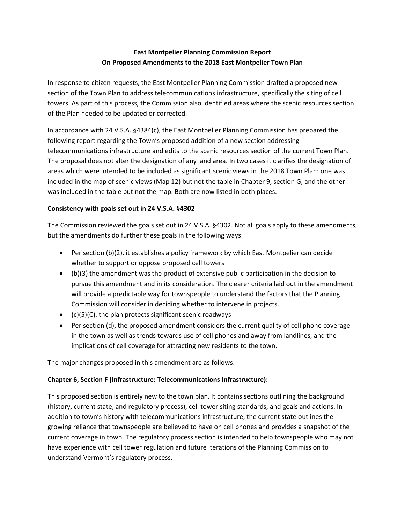# **East Montpelier Planning Commission Report On Proposed Amendments to the 2018 East Montpelier Town Plan**

In response to citizen requests, the East Montpelier Planning Commission drafted a proposed new section of the Town Plan to address telecommunications infrastructure, specifically the siting of cell towers. As part of this process, the Commission also identified areas where the scenic resources section of the Plan needed to be updated or corrected.

In accordance with 24 V.S.A. §4384(c), the East Montpelier Planning Commission has prepared the following report regarding the Town's proposed addition of a new section addressing telecommunications infrastructure and edits to the scenic resources section of the current Town Plan. The proposal does not alter the designation of any land area. In two cases it clarifies the designation of areas which were intended to be included as significant scenic views in the 2018 Town Plan: one was included in the map of scenic views (Map 12) but not the table in Chapter 9, section G, and the other was included in the table but not the map. Both are now listed in both places.

## **Consistency with goals set out in 24 V.S.A. §4302**

The Commission reviewed the goals set out in 24 V.S.A. §4302. Not all goals apply to these amendments, but the amendments do further these goals in the following ways:

- Per section (b)(2), it establishes a policy framework by which East Montpelier can decide whether to support or oppose proposed cell towers
- (b)(3) the amendment was the product of extensive public participation in the decision to pursue this amendment and in its consideration. The clearer criteria laid out in the amendment will provide a predictable way for townspeople to understand the factors that the Planning Commission will consider in deciding whether to intervene in projects.
- (c)(5)(C), the plan protects significant scenic roadways
- Per section (d), the proposed amendment considers the current quality of cell phone coverage in the town as well as trends towards use of cell phones and away from landlines, and the implications of cell coverage for attracting new residents to the town.

The major changes proposed in this amendment are as follows:

## **Chapter 6, Section F (Infrastructure: Telecommunications Infrastructure):**

This proposed section is entirely new to the town plan. It contains sections outlining the background (history, current state, and regulatory process), cell tower siting standards, and goals and actions. In addition to town's history with telecommunications infrastructure, the current state outlines the growing reliance that townspeople are believed to have on cell phones and provides a snapshot of the current coverage in town. The regulatory process section is intended to help townspeople who may not have experience with cell tower regulation and future iterations of the Planning Commission to understand Vermont's regulatory process.